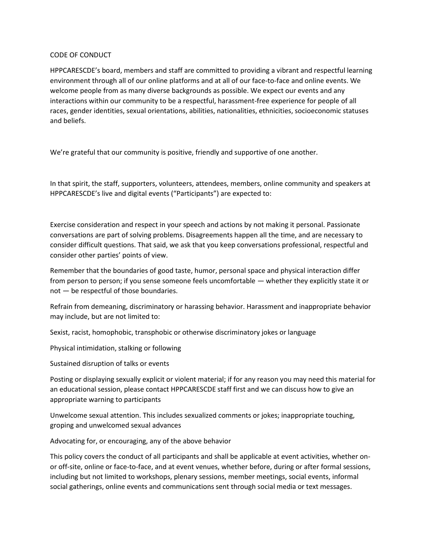## CODE OF CONDUCT

HPPCARESCDE's board, members and staff are committed to providing a vibrant and respectful learning environment through all of our online platforms and at all of our face-to-face and online events. We welcome people from as many diverse backgrounds as possible. We expect our events and any interactions within our community to be a respectful, harassment-free experience for people of all races, gender identities, sexual orientations, abilities, nationalities, ethnicities, socioeconomic statuses and beliefs.

We're grateful that our community is positive, friendly and supportive of one another.

In that spirit, the staff, supporters, volunteers, attendees, members, online community and speakers at HPPCARESCDE's live and digital events ("Participants") are expected to:

Exercise consideration and respect in your speech and actions by not making it personal. Passionate conversations are part of solving problems. Disagreements happen all the time, and are necessary to consider difficult questions. That said, we ask that you keep conversations professional, respectful and consider other parties' points of view.

Remember that the boundaries of good taste, humor, personal space and physical interaction differ from person to person; if you sense someone feels uncomfortable — whether they explicitly state it or not — be respectful of those boundaries.

Refrain from demeaning, discriminatory or harassing behavior. Harassment and inappropriate behavior may include, but are not limited to:

Sexist, racist, homophobic, transphobic or otherwise discriminatory jokes or language

Physical intimidation, stalking or following

Sustained disruption of talks or events

Posting or displaying sexually explicit or violent material; if for any reason you may need this material for an educational session, please contact HPPCARESCDE staff first and we can discuss how to give an appropriate warning to participants

Unwelcome sexual attention. This includes sexualized comments or jokes; inappropriate touching, groping and unwelcomed sexual advances

Advocating for, or encouraging, any of the above behavior

This policy covers the conduct of all participants and shall be applicable at event activities, whether onor off-site, online or face-to-face, and at event venues, whether before, during or after formal sessions, including but not limited to workshops, plenary sessions, member meetings, social events, informal social gatherings, online events and communications sent through social media or text messages.